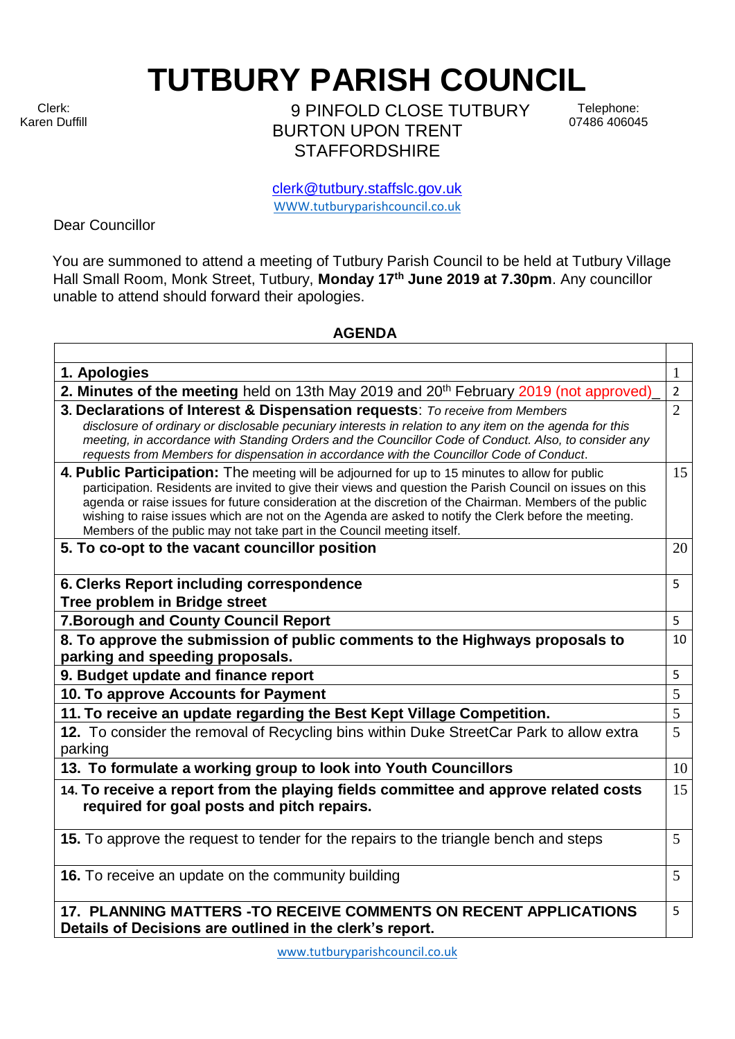Clerk: Karen Duffill **TUTBURY PARISH COUNCIL** 

9 PINFOLD CLOSE TUTBURY BURTON UPON TRENT **STAFFORDSHIRE** 

Telephone: 07486 406045

clerk@tutbury.staffslc.gov.uk [WWW.tutburyparishcouncil.co.uk](http://www.tutburyparishcouncil.co.uk/)

Dear Councillor

You are summoned to attend a meeting of Tutbury Parish Council to be held at Tutbury Village Hall Small Room, Monk Street, Tutbury, **Monday 17 th June 2019 at 7.30pm**. Any councillor unable to attend should forward their apologies.

## **AGENDA**

| 1. Apologies                                                                                                                                                                                                                                                                                                                                                                                                                                                                                                 | 1              |
|--------------------------------------------------------------------------------------------------------------------------------------------------------------------------------------------------------------------------------------------------------------------------------------------------------------------------------------------------------------------------------------------------------------------------------------------------------------------------------------------------------------|----------------|
| 2. Minutes of the meeting held on 13th May 2019 and 20 <sup>th</sup> February 2019 (not approved)                                                                                                                                                                                                                                                                                                                                                                                                            | $\overline{2}$ |
| 3. Declarations of Interest & Dispensation requests: To receive from Members<br>disclosure of ordinary or disclosable pecuniary interests in relation to any item on the agenda for this<br>meeting, in accordance with Standing Orders and the Councillor Code of Conduct. Also, to consider any<br>requests from Members for dispensation in accordance with the Councillor Code of Conduct.                                                                                                               | $\overline{2}$ |
| 4. Public Participation: The meeting will be adjourned for up to 15 minutes to allow for public<br>participation. Residents are invited to give their views and question the Parish Council on issues on this<br>agenda or raise issues for future consideration at the discretion of the Chairman. Members of the public<br>wishing to raise issues which are not on the Agenda are asked to notify the Clerk before the meeting.<br>Members of the public may not take part in the Council meeting itself. | 15             |
| 5. To co-opt to the vacant councillor position                                                                                                                                                                                                                                                                                                                                                                                                                                                               | 20             |
| 6. Clerks Report including correspondence<br>Tree problem in Bridge street                                                                                                                                                                                                                                                                                                                                                                                                                                   | 5              |
| 7. Borough and County Council Report                                                                                                                                                                                                                                                                                                                                                                                                                                                                         | 5              |
| 8. To approve the submission of public comments to the Highways proposals to<br>parking and speeding proposals.                                                                                                                                                                                                                                                                                                                                                                                              | 10             |
| 9. Budget update and finance report                                                                                                                                                                                                                                                                                                                                                                                                                                                                          | 5              |
| 10. To approve Accounts for Payment                                                                                                                                                                                                                                                                                                                                                                                                                                                                          | 5              |
| 11. To receive an update regarding the Best Kept Village Competition.                                                                                                                                                                                                                                                                                                                                                                                                                                        | 5              |
| 12. To consider the removal of Recycling bins within Duke StreetCar Park to allow extra<br>parking                                                                                                                                                                                                                                                                                                                                                                                                           | 5              |
| 13. To formulate a working group to look into Youth Councillors                                                                                                                                                                                                                                                                                                                                                                                                                                              | 10             |
| 14. To receive a report from the playing fields committee and approve related costs<br>required for goal posts and pitch repairs.                                                                                                                                                                                                                                                                                                                                                                            | 15             |
| 15. To approve the request to tender for the repairs to the triangle bench and steps                                                                                                                                                                                                                                                                                                                                                                                                                         | 5              |
| 16. To receive an update on the community building                                                                                                                                                                                                                                                                                                                                                                                                                                                           | 5              |
| 17. PLANNING MATTERS - TO RECEIVE COMMENTS ON RECENT APPLICATIONS<br>Details of Decisions are outlined in the clerk's report.                                                                                                                                                                                                                                                                                                                                                                                | 5              |